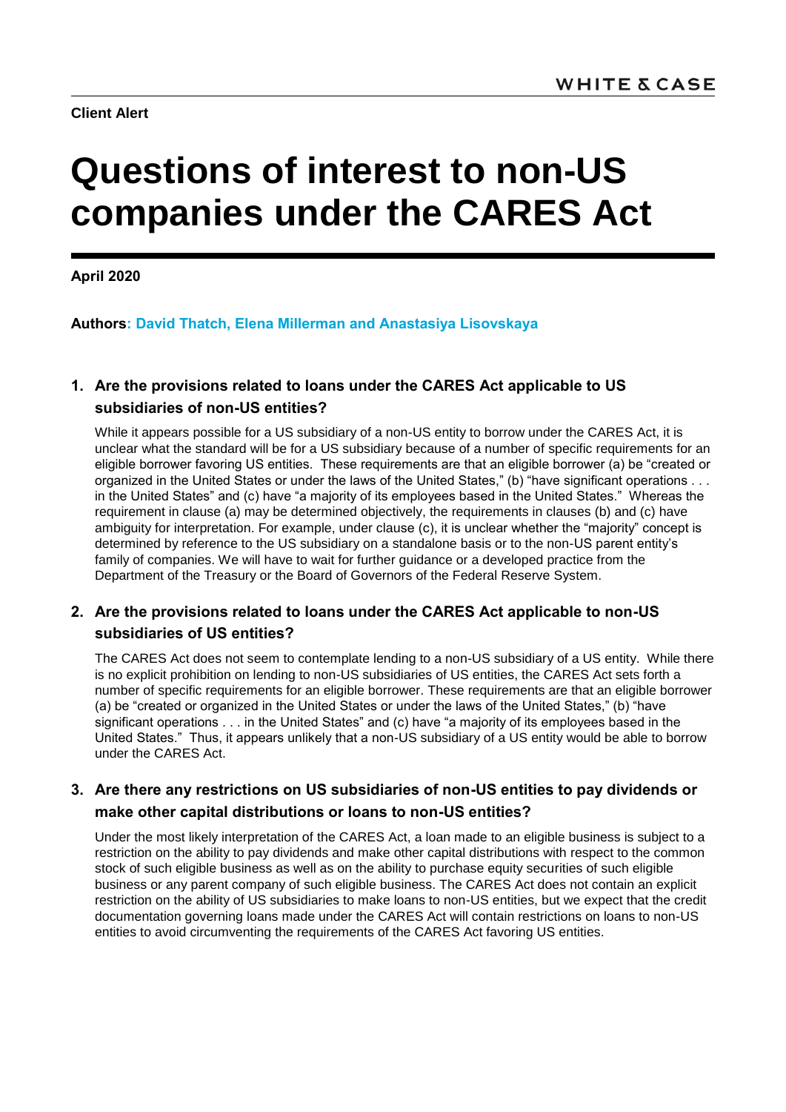**Client Alert**

# **Questions of interest to non-US companies under the CARES Act**

**April 2020**

**Authors: David Thatch, Elena Millerman and Anastasiya Lisovskaya**

# **1. Are the provisions related to loans under the CARES Act applicable to US subsidiaries of non-US entities?**

While it appears possible for a US subsidiary of a non-US entity to borrow under the CARES Act, it is unclear what the standard will be for a US subsidiary because of a number of specific requirements for an eligible borrower favoring US entities. These requirements are that an eligible borrower (a) be "created or organized in the United States or under the laws of the United States," (b) "have significant operations . . . in the United States" and (c) have "a majority of its employees based in the United States." Whereas the requirement in clause (a) may be determined objectively, the requirements in clauses (b) and (c) have ambiguity for interpretation. For example, under clause (c), it is unclear whether the "majority" concept is determined by reference to the US subsidiary on a standalone basis or to the non-US parent entity's family of companies. We will have to wait for further guidance or a developed practice from the Department of the Treasury or the Board of Governors of the Federal Reserve System.

## **2. Are the provisions related to loans under the CARES Act applicable to non-US subsidiaries of US entities?**

The CARES Act does not seem to contemplate lending to a non-US subsidiary of a US entity. While there is no explicit prohibition on lending to non-US subsidiaries of US entities, the CARES Act sets forth a number of specific requirements for an eligible borrower. These requirements are that an eligible borrower (a) be "created or organized in the United States or under the laws of the United States," (b) "have significant operations . . . in the United States" and (c) have "a majority of its employees based in the United States." Thus, it appears unlikely that a non-US subsidiary of a US entity would be able to borrow under the CARES Act.

### **3. Are there any restrictions on US subsidiaries of non-US entities to pay dividends or make other capital distributions or loans to non-US entities?**

Under the most likely interpretation of the CARES Act, a loan made to an eligible business is subject to a restriction on the ability to pay dividends and make other capital distributions with respect to the common stock of such eligible business as well as on the ability to purchase equity securities of such eligible business or any parent company of such eligible business. The CARES Act does not contain an explicit restriction on the ability of US subsidiaries to make loans to non-US entities, but we expect that the credit documentation governing loans made under the CARES Act will contain restrictions on loans to non-US entities to avoid circumventing the requirements of the CARES Act favoring US entities.